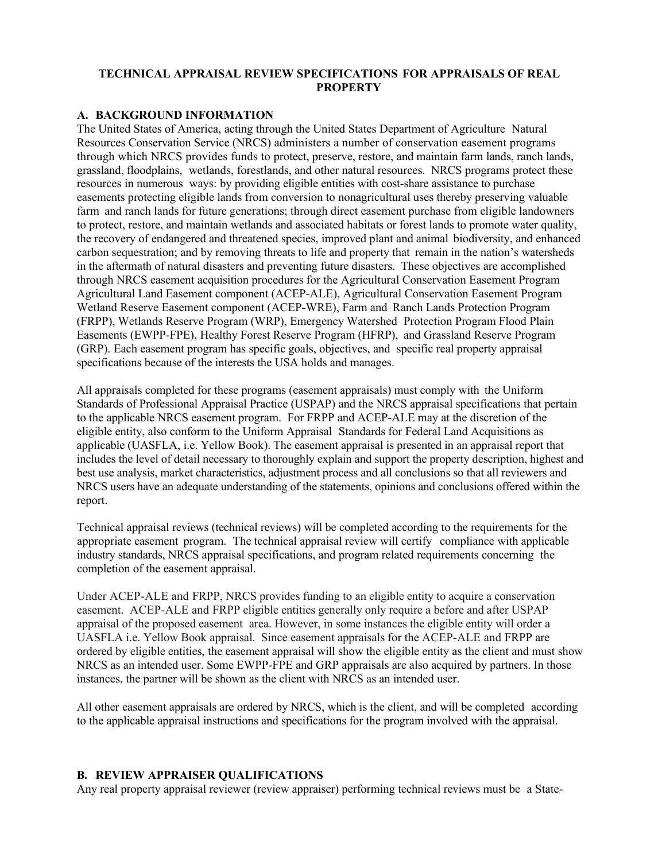## **TECHNICAL APPRAISAL REVIEW SPECIFICATIONS FOR APPRAISALS OF REAL PROPERTY**

#### **A. BACKGROUND INFORMATION**

The United States of America, acting through the United States Department of Agriculture Natural Resources Conservation Service (NRCS) administers a number of conservation easement programs through which NRCS provides funds to protect, preserve, restore, and maintain farm lands, ranch lands, grassland, floodplains, wetlands, forestlands, and other natural resources. NRCS programs protect these resources in numerous ways: by providing eligible entities with cost-share assistance to purchase easements protecting eligible lands from conversion to nonagricultural uses thereby preserving valuable farm and ranch lands for future generations; through direct easement purchase from eligible landowners to protect, restore, and maintain wetlands and associated habitats or forest lands to promote water quality, the recovery of endangered and threatened species, improved plant and animal biodiversity, and enhanced carbon sequestration; and by removing threats to life and property that remain in the nation's watersheds in the aftermath of natural disasters and preventing future disasters. These objectives are accomplished through NRCS easement acquisition procedures for the Agricultural Conservation Easement Program Agricultural Land Easement component (ACEP-ALE), Agricultural Conservation Easement Program Wetland Reserve Easement component (ACEP-WRE), Farm and Ranch Lands Protection Program (FRPP), Wetlands Reserve Program (WRP), Emergency Watershed Protection Program Flood Plain Easements (EWPP-FPE), Healthy Forest Reserve Program (HFRP), and Grassland Reserve Program (GRP). Each easement program has specific goals, objectives, and specific real property appraisal specifications because of the interests the USA holds and manages.

All appraisals completed for these programs (easement appraisals) must comply with the Uniform Standards of Professional Appraisal Practice (USPAP) and the NRCS appraisal specifications that pertain to the applicable NRCS easement program. For FRPP and ACEP-ALE may at the discretion of the eligible entity, also conform to the Uniform Appraisal Standards for Federal Land Acquisitions as applicable (UASFLA, i.e. Yellow Book). The easement appraisal is presented in an appraisal report that includes the level of detail necessary to thoroughly explain and support the property description, highest and best use analysis, market characteristics, adjustment process and all conclusions so that all reviewers and NRCS users have an adequate understanding of the statements, opinions and conclusions offered within the report.

Technical appraisal reviews (technical reviews) will be completed according to the requirements for the appropriate easement program. The technical appraisal review will certify compliance with applicable industry standards, NRCS appraisal specifications, and program related requirements concerning the completion of the easement appraisal.

Under ACEP-ALE and FRPP, NRCS provides funding to an eligible entity to acquire a conservation easement. ACEP-ALE and FRPP eligible entities generally only require a before and after USPAP appraisal of the proposed easement area. However, in some instances the eligible entity will order a UASFLA i.e. Yellow Book appraisal. Since easement appraisals for the ACEP-ALE and FRPP are ordered by eligible entities, the easement appraisal will show the eligible entity as the client and must show NRCS as an intended user. Some EWPP-FPE and GRP appraisals are also acquired by partners. In those instances, the partner will be shown as the client with NRCS as an intended user.

All other easement appraisals are ordered by NRCS, which is the client, and will be completed according to the applicable appraisal instructions and specifications for the program involved with the appraisal.

#### **B. REVIEW APPRAISER QUALIFICATIONS**

Any real property appraisal reviewer (review appraiser) performing technical reviews must be a State-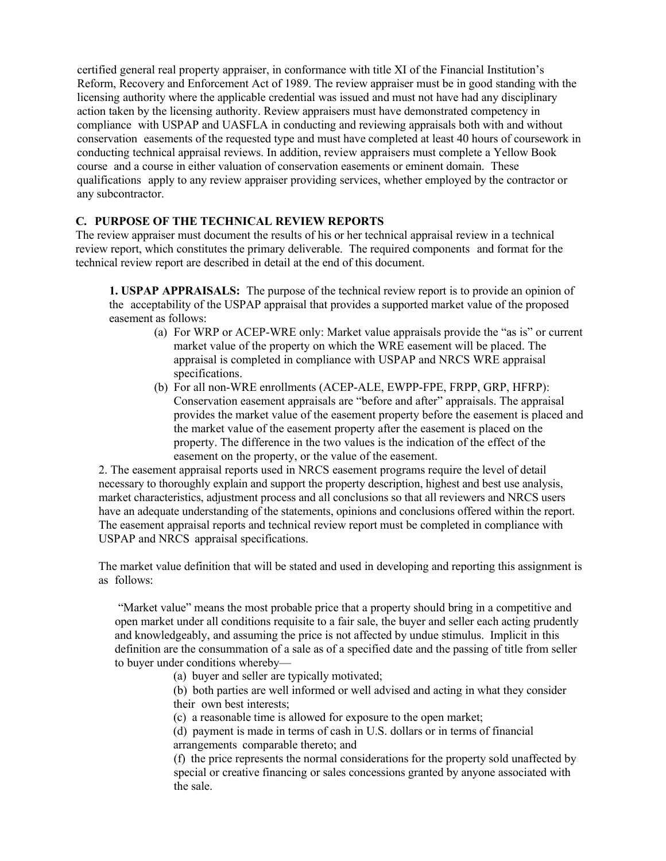certified general real property appraiser, in conformance with title XI of the Financial Institution's Reform, Recovery and Enforcement Act of 1989. The review appraiser must be in good standing with the licensing authority where the applicable credential was issued and must not have had any disciplinary action taken by the licensing authority. Review appraisers must have demonstrated competency in compliance with USPAP and UASFLA in conducting and reviewing appraisals both with and without conservation easements of the requested type and must have completed at least 40 hours of coursework in conducting technical appraisal reviews. In addition, review appraisers must complete a Yellow Book course and a course in either valuation of conservation easements or eminent domain. These qualifications apply to any review appraiser providing services, whether employed by the contractor or any subcontractor.

## **C. PURPOSE OF THE TECHNICAL REVIEW REPORTS**

The review appraiser must document the results of his or her technical appraisal review in a technical review report, which constitutes the primary deliverable. The required components and format for the technical review report are described in detail at the end of this document.

**1. USPAP APPRAISALS:** The purpose of the technical review report is to provide an opinion of the acceptability of the USPAP appraisal that provides a supported market value of the proposed easement as follows:

- (a) For WRP or ACEP-WRE only: Market value appraisals provide the "as is" or current market value of the property on which the WRE easement will be placed. The appraisal is completed in compliance with USPAP and NRCS WRE appraisal specifications.
- (b) For all non-WRE enrollments (ACEP-ALE, EWPP-FPE, FRPP, GRP, HFRP): Conservation easement appraisals are "before and after" appraisals. The appraisal provides the market value of the easement property before the easement is placed and the market value of the easement property after the easement is placed on the property. The difference in the two values is the indication of the effect of the easement on the property, or the value of the easement.

2. The easement appraisal reports used in NRCS easement programs require the level of detail necessary to thoroughly explain and support the property description, highest and best use analysis, market characteristics, adjustment process and all conclusions so that all reviewers and NRCS users have an adequate understanding of the statements, opinions and conclusions offered within the report. The easement appraisal reports and technical review report must be completed in compliance with USPAP and NRCS appraisal specifications.

The market value definition that will be stated and used in developing and reporting this assignment is as follows:

"Market value" means the most probable price that a property should bring in a competitive and open market under all conditions requisite to a fair sale, the buyer and seller each acting prudently and knowledgeably, and assuming the price is not affected by undue stimulus. Implicit in this definition are the consummation of a sale as of a specified date and the passing of title from seller to buyer under conditions whereby—

(a) buyer and seller are typically motivated;

(b) both parties are well informed or well advised and acting in what they consider their own best interests;

(c) a reasonable time is allowed for exposure to the open market;

(d) payment is made in terms of cash in U.S. dollars or in terms of financial arrangements comparable thereto; and

(f) the price represents the normal considerations for the property sold unaffected by special or creative financing or sales concessions granted by anyone associated with the sale.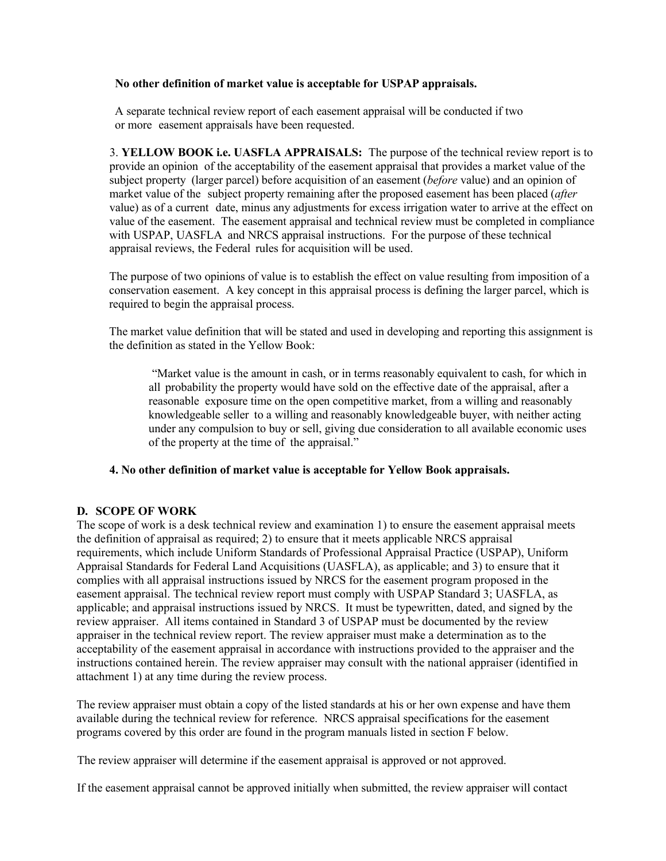## **No other definition of market value is acceptable for USPAP appraisals.**

A separate technical review report of each easement appraisal will be conducted if two or more easement appraisals have been requested.

3. **YELLOW BOOK i.e. UASFLA APPRAISALS:** The purpose of the technical review report is to provide an opinion of the acceptability of the easement appraisal that provides a market value of the subject property (larger parcel) before acquisition of an easement (*before* value) and an opinion of market value of the subject property remaining after the proposed easement has been placed (*after* value) as of a current date, minus any adjustments for excess irrigation water to arrive at the effect on value of the easement. The easement appraisal and technical review must be completed in compliance with USPAP, UASFLA and NRCS appraisal instructions. For the purpose of these technical appraisal reviews, the Federal rules for acquisition will be used.

The purpose of two opinions of value is to establish the effect on value resulting from imposition of a conservation easement. A key concept in this appraisal process is defining the larger parcel, which is required to begin the appraisal process.

The market value definition that will be stated and used in developing and reporting this assignment is the definition as stated in the Yellow Book:

"Market value is the amount in cash, or in terms reasonably equivalent to cash, for which in all probability the property would have sold on the effective date of the appraisal, after a reasonable exposure time on the open competitive market, from a willing and reasonably knowledgeable seller to a willing and reasonably knowledgeable buyer, with neither acting under any compulsion to buy or sell, giving due consideration to all available economic uses of the property at the time of the appraisal."

## **4. No other definition of market value is acceptable for Yellow Book appraisals.**

## **D. SCOPE OF WORK**

The scope of work is a desk technical review and examination 1) to ensure the easement appraisal meets the definition of appraisal as required; 2) to ensure that it meets applicable NRCS appraisal requirements, which include Uniform Standards of Professional Appraisal Practice (USPAP), Uniform Appraisal Standards for Federal Land Acquisitions (UASFLA), as applicable; and 3) to ensure that it complies with all appraisal instructions issued by NRCS for the easement program proposed in the easement appraisal. The technical review report must comply with USPAP Standard 3; UASFLA, as applicable; and appraisal instructions issued by NRCS. It must be typewritten, dated, and signed by the review appraiser. All items contained in Standard 3 of USPAP must be documented by the review appraiser in the technical review report. The review appraiser must make a determination as to the acceptability of the easement appraisal in accordance with instructions provided to the appraiser and the instructions contained herein. The review appraiser may consult with the national appraiser (identified in attachment 1) at any time during the review process.

The review appraiser must obtain a copy of the listed standards at his or her own expense and have them available during the technical review for reference. NRCS appraisal specifications for the easement programs covered by this order are found in the program manuals listed in section F below.

The review appraiser will determine if the easement appraisal is approved or not approved.

If the easement appraisal cannot be approved initially when submitted, the review appraiser will contact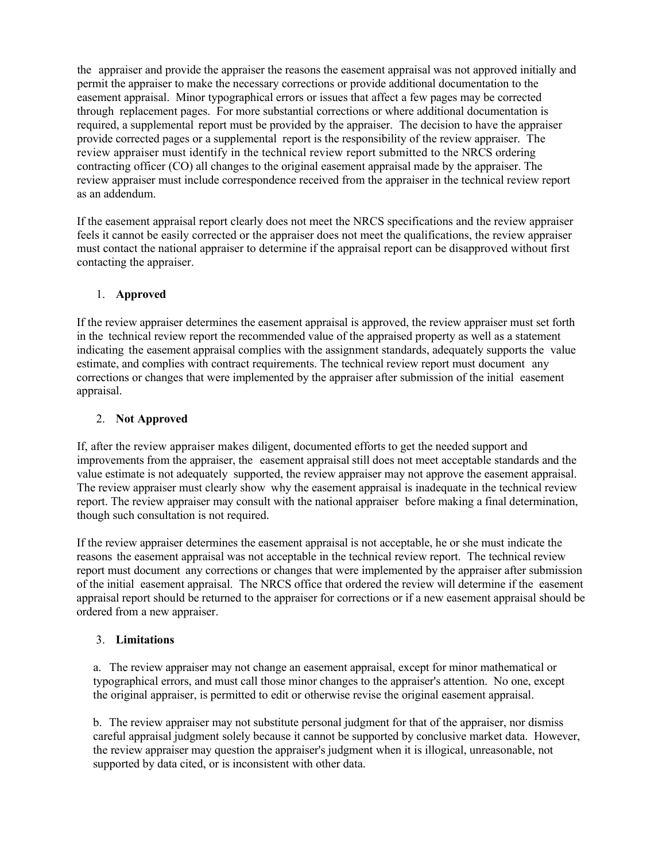the appraiser and provide the appraiser the reasons the easement appraisal was not approved initially and permit the appraiser to make the necessary corrections or provide additional documentation to the easement appraisal. Minor typographical errors or issues that affect a few pages may be corrected through replacement pages. For more substantial corrections or where additional documentation is required, a supplemental report must be provided by the appraiser. The decision to have the appraiser provide corrected pages or a supplemental report is the responsibility of the review appraiser. The review appraiser must identify in the technical review report submitted to the NRCS ordering contracting officer (CO) all changes to the original easement appraisal made by the appraiser. The review appraiser must include correspondence received from the appraiser in the technical review report as an addendum.

If the easement appraisal report clearly does not meet the NRCS specifications and the review appraiser feels it cannot be easily corrected or the appraiser does not meet the qualifications, the review appraiser must contact the national appraiser to determine if the appraisal report can be disapproved without first contacting the appraiser.

# 1. **Approved**

If the review appraiser determines the easement appraisal is approved, the review appraiser must set forth in the technical review report the recommended value of the appraised property as well as a statement indicating the easement appraisal complies with the assignment standards, adequately supports the value estimate, and complies with contract requirements. The technical review report must document any corrections or changes that were implemented by the appraiser after submission of the initial easement appraisal.

# 2. **Not Approved**

If, after the review appraiser makes diligent, documented efforts to get the needed support and improvements from the appraiser, the easement appraisal still does not meet acceptable standards and the value estimate is not adequately supported, the review appraiser may not approve the easement appraisal. The review appraiser must clearly show why the easement appraisal is inadequate in the technical review report. The review appraiser may consult with the national appraiser before making a final determination, though such consultation is not required.

If the review appraiser determines the easement appraisal is not acceptable, he or she must indicate the reasons the easement appraisal was not acceptable in the technical review report. The technical review report must document any corrections or changes that were implemented by the appraiser after submission of the initial easement appraisal. The NRCS office that ordered the review will determine if the easement appraisal report should be returned to the appraiser for corrections or if a new easement appraisal should be ordered from a new appraiser.

## 3. **Limitations**

a. The review appraiser may not change an easement appraisal, except for minor mathematical or typographical errors, and must call those minor changes to the appraiser's attention. No one, except the original appraiser, is permitted to edit or otherwise revise the original easement appraisal.

b. The review appraiser may not substitute personal judgment for that of the appraiser, nor dismiss careful appraisal judgment solely because it cannot be supported by conclusive market data. However, the review appraiser may question the appraiser's judgment when it is illogical, unreasonable, not supported by data cited, or is inconsistent with other data.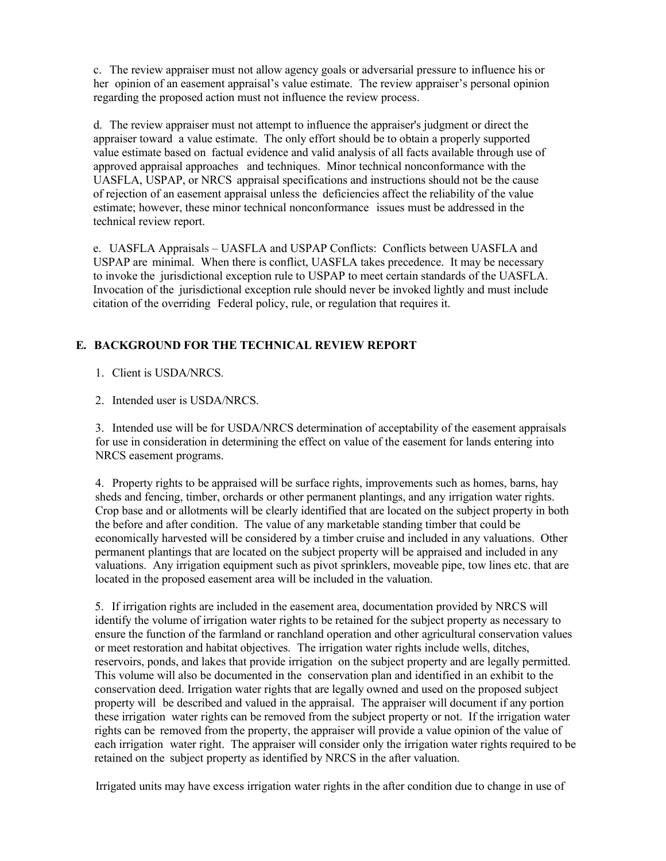c. The review appraiser must not allow agency goals or adversarial pressure to influence his or her opinion of an easement appraisal's value estimate. The review appraiser's personal opinion regarding the proposed action must not influence the review process.

d. The review appraiser must not attempt to influence the appraiser's judgment or direct the appraiser toward a value estimate. The only effort should be to obtain a properly supported value estimate based on factual evidence and valid analysis of all facts available through use of approved appraisal approaches and techniques. Minor technical nonconformance with the UASFLA, USPAP, or NRCS appraisal specifications and instructions should not be the cause of rejection of an easement appraisal unless the deficiencies affect the reliability of the value estimate; however, these minor technical nonconformance issues must be addressed in the technical review report.

e. UASFLA Appraisals – UASFLA and USPAP Conflicts: Conflicts between UASFLA and USPAP are minimal. When there is conflict, UASFLA takes precedence. It may be necessary to invoke the jurisdictional exception rule to USPAP to meet certain standards of the UASFLA. Invocation of the jurisdictional exception rule should never be invoked lightly and must include citation of the overriding Federal policy, rule, or regulation that requires it.

# **E. BACKGROUND FOR THE TECHNICAL REVIEW REPORT**

1. Client is USDA/NRCS.

2. Intended user is USDA/NRCS.

3. Intended use will be for USDA/NRCS determination of acceptability of the easement appraisals for use in consideration in determining the effect on value of the easement for lands entering into NRCS easement programs.

4. Property rights to be appraised will be surface rights, improvements such as homes, barns, hay sheds and fencing, timber, orchards or other permanent plantings, and any irrigation water rights. Crop base and or allotments will be clearly identified that are located on the subject property in both the before and after condition. The value of any marketable standing timber that could be economically harvested will be considered by a timber cruise and included in any valuations. Other permanent plantings that are located on the subject property will be appraised and included in any valuations. Any irrigation equipment such as pivot sprinklers, moveable pipe, tow lines etc. that are located in the proposed easement area will be included in the valuation.

5. If irrigation rights are included in the easement area, documentation provided by NRCS will identify the volume of irrigation water rights to be retained for the subject property as necessary to ensure the function of the farmland or ranchland operation and other agricultural conservation values or meet restoration and habitat objectives. The irrigation water rights include wells, ditches, reservoirs, ponds, and lakes that provide irrigation on the subject property and are legally permitted. This volume will also be documented in the conservation plan and identified in an exhibit to the conservation deed. Irrigation water rights that are legally owned and used on the proposed subject property will be described and valued in the appraisal. The appraiser will document if any portion these irrigation water rights can be removed from the subject property or not. If the irrigation water rights can be removed from the property, the appraiser will provide a value opinion of the value of each irrigation water right. The appraiser will consider only the irrigation water rights required to be retained on the subject property as identified by NRCS in the after valuation.

Irrigated units may have excess irrigation water rights in the after condition due to change in use of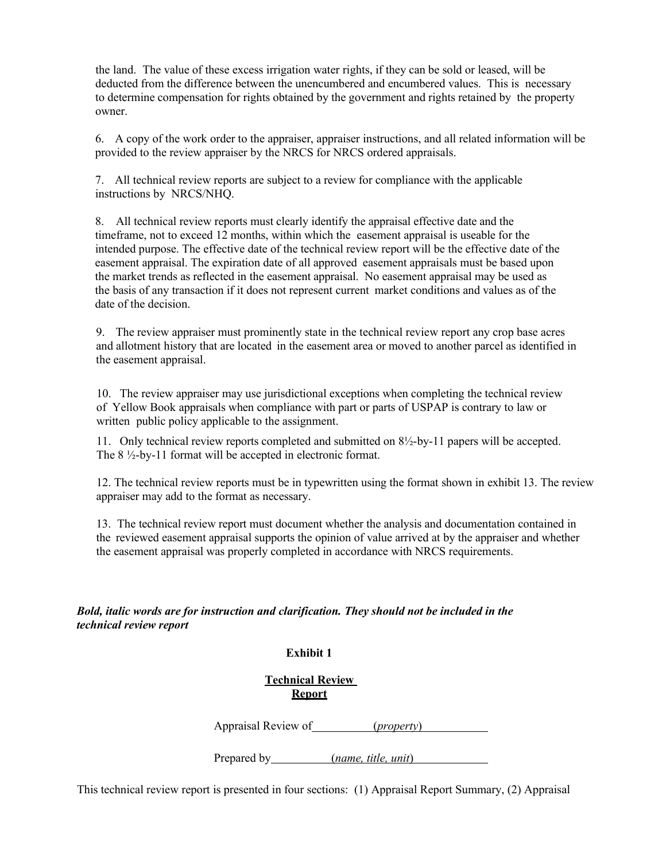the land. The value of these excess irrigation water rights, if they can be sold or leased, will be deducted from the difference between the unencumbered and encumbered values. This is necessary to determine compensation for rights obtained by the government and rights retained by the property owner.

6. A copy of the work order to the appraiser, appraiser instructions, and all related information will be provided to the review appraiser by the NRCS for NRCS ordered appraisals.

7. All technical review reports are subject to a review for compliance with the applicable instructions by NRCS/NHQ.

8. All technical review reports must clearly identify the appraisal effective date and the timeframe, not to exceed 12 months, within which the easement appraisal is useable for the intended purpose. The effective date of the technical review report will be the effective date of the easement appraisal. The expiration date of all approved easement appraisals must be based upon the market trends as reflected in the easement appraisal. No easement appraisal may be used as the basis of any transaction if it does not represent current market conditions and values as of the date of the decision.

9. The review appraiser must prominently state in the technical review report any crop base acres and allotment history that are located in the easement area or moved to another parcel as identified in the easement appraisal.

10. The review appraiser may use jurisdictional exceptions when completing the technical review of Yellow Book appraisals when compliance with part or parts of USPAP is contrary to law or written public policy applicable to the assignment.

11. Only technical review reports completed and submitted on 8½-by-11 papers will be accepted. The 8 ½-by-11 format will be accepted in electronic format.

12. The technical review reports must be in typewritten using the format shown in exhibit 13. The review appraiser may add to the format as necessary.

13. The technical review report must document whether the analysis and documentation contained in the reviewed easement appraisal supports the opinion of value arrived at by the appraiser and whether the easement appraisal was properly completed in accordance with NRCS requirements.

*Bold, italic words are for instruction and clarification. They should not be included in the technical review report*

#### **Exhibit 1**

**Technical Review Report**

Appraisal Review of (*property*)

Prepared by (*name, title, unit*)

This technical review report is presented in four sections: (1) Appraisal Report Summary, (2) Appraisal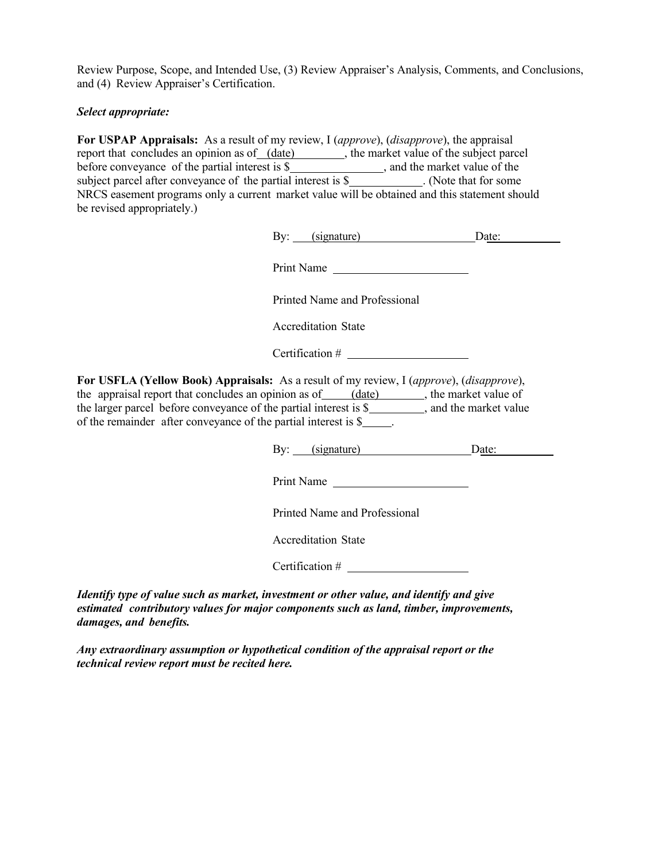Review Purpose, Scope, and Intended Use, (3) Review Appraiser's Analysis, Comments, and Conclusions, and (4) Review Appraiser's Certification.

## *Select appropriate:*

**For USPAP Appraisals:** As a result of my review, I (*approve*), (*disapprove*), the appraisal report that concludes an opinion as of (date), the market value of the subject parcel before conveyance of the partial interest is  $\frac{1}{2}$  , and the market value of the subject parcel after conveyance of the partial interest is \$\_\_\_\_\_\_\_\_\_\_\_\_. (Note that for some NRCS easement programs only a current market value will be obtained and this statement should be revised appropriately.)

| By: | (signature) | Jate: |
|-----|-------------|-------|
|     |             |       |

Print Name

Printed Name and Professional

Accreditation State

Certification #

**For USFLA (Yellow Book) Appraisals:** As a result of my review, I (*approve*), (*disapprove*), the appraisal report that concludes an opinion as of  $(date)$ , the market value of the larger parcel before conveyance of the partial interest is \$ of the remainder after conveyance of the partial interest is \$ .

By: (signature) Date:

Print Name

Printed Name and Professional

Accreditation State

Certification #

*Identify type of value such as market, investment or other value, and identify and give estimated contributory values for major components such as land, timber, improvements, damages, and benefits.*

*Any extraordinary assumption or hypothetical condition of the appraisal report or the technical review report must be recited here.*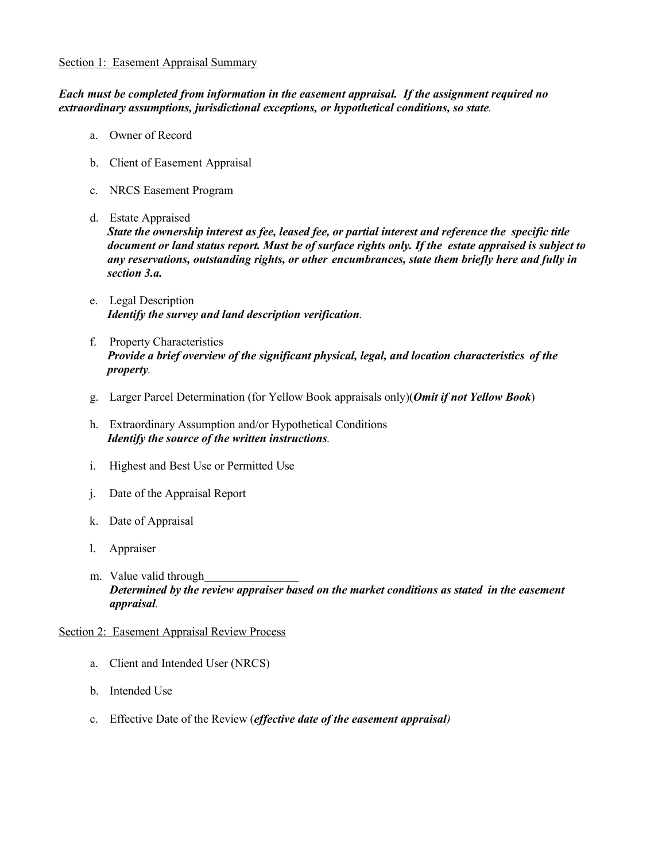#### Section 1: Easement Appraisal Summary

*Each must be completed from information in the easement appraisal. If the assignment required no extraordinary assumptions, jurisdictional exceptions, or hypothetical conditions, so state.*

- a. Owner of Record
- b. Client of Easement Appraisal
- c. NRCS Easement Program
- d. Estate Appraised

*State the ownership interest as fee, leased fee, or partial interest and reference the specific title document or land status report. Must be of surface rights only. If the estate appraised is subject to any reservations, outstanding rights, or other encumbrances, state them briefly here and fully in section 3.a.*

- e. Legal Description *Identify the survey and land description verification.*
- f. Property Characteristics *Provide a brief overview of the significant physical, legal, and location characteristics of the property.*
- g. Larger Parcel Determination (for Yellow Book appraisals only)(*Omit if not Yellow Book*)
- h. Extraordinary Assumption and/or Hypothetical Conditions *Identify the source of the written instructions.*
- i. Highest and Best Use or Permitted Use
- j. Date of the Appraisal Report
- k. Date of Appraisal
- l. Appraiser
- m. Value valid through *Determined by the review appraiser based on the market conditions as stated in the easement appraisal.*

## Section 2: Easement Appraisal Review Process

- a. Client and Intended User (NRCS)
- b. Intended Use
- c. Effective Date of the Review (*effective date of the easement appraisal)*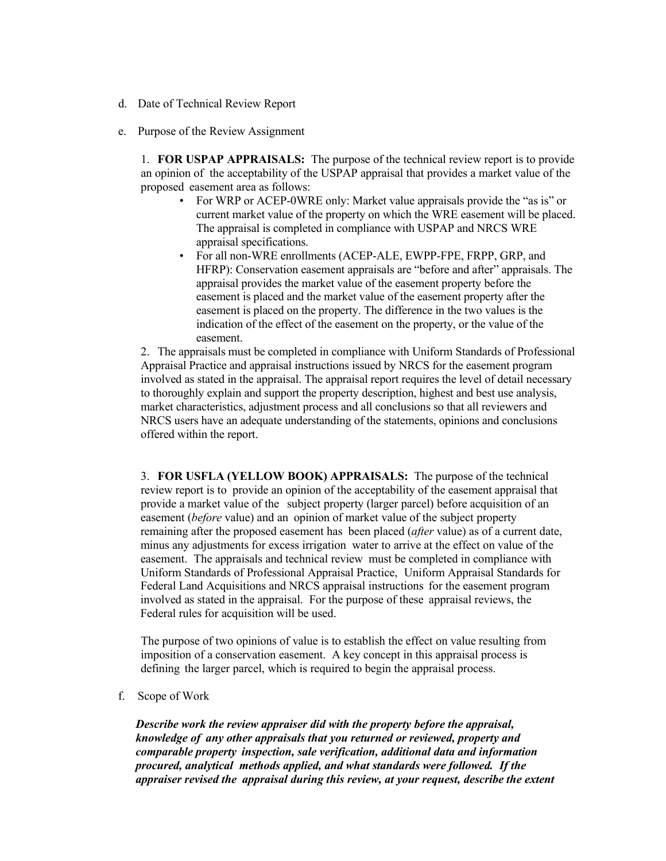- d. Date of Technical Review Report
- e. Purpose of the Review Assignment

1. **FOR USPAP APPRAISALS:** The purpose of the technical review report is to provide an opinion of the acceptability of the USPAP appraisal that provides a market value of the proposed easement area as follows:

- For WRP or ACEP-0WRE only: Market value appraisals provide the "as is" or current market value of the property on which the WRE easement will be placed. The appraisal is completed in compliance with USPAP and NRCS WRE appraisal specifications.
- For all non-WRE enrollments (ACEP-ALE, EWPP-FPE, FRPP, GRP, and HFRP): Conservation easement appraisals are "before and after" appraisals. The appraisal provides the market value of the easement property before the easement is placed and the market value of the easement property after the easement is placed on the property. The difference in the two values is the indication of the effect of the easement on the property, or the value of the easement.

2. The appraisals must be completed in compliance with Uniform Standards of Professional Appraisal Practice and appraisal instructions issued by NRCS for the easement program involved as stated in the appraisal. The appraisal report requires the level of detail necessary to thoroughly explain and support the property description, highest and best use analysis, market characteristics, adjustment process and all conclusions so that all reviewers and NRCS users have an adequate understanding of the statements, opinions and conclusions offered within the report.

3. **FOR USFLA (YELLOW BOOK) APPRAISALS:** The purpose of the technical review report is to provide an opinion of the acceptability of the easement appraisal that provide a market value of the subject property (larger parcel) before acquisition of an easement (*before* value) and an opinion of market value of the subject property remaining after the proposed easement has been placed (*after* value) as of a current date, minus any adjustments for excess irrigation water to arrive at the effect on value of the easement. The appraisals and technical review must be completed in compliance with Uniform Standards of Professional Appraisal Practice, Uniform Appraisal Standards for Federal Land Acquisitions and NRCS appraisal instructions for the easement program involved as stated in the appraisal. For the purpose of these appraisal reviews, the Federal rules for acquisition will be used.

The purpose of two opinions of value is to establish the effect on value resulting from imposition of a conservation easement. A key concept in this appraisal process is defining the larger parcel, which is required to begin the appraisal process.

f. Scope of Work

*Describe work the review appraiser did with the property before the appraisal, knowledge of any other appraisals that you returned or reviewed, property and comparable property inspection, sale verification, additional data and information procured, analytical methods applied, and what standards were followed. If the appraiser revised the appraisal during this review, at your request, describe the extent*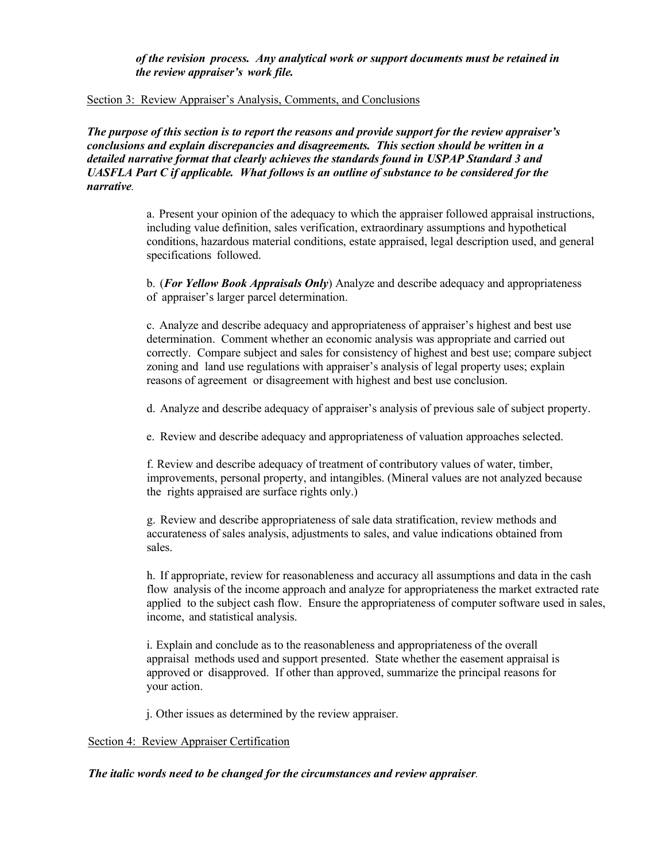*of the revision process. Any analytical work or support documents must be retained in the review appraiser's work file.*

#### Section 3: Review Appraiser's Analysis, Comments, and Conclusions

*The purpose of this section is to report the reasons and provide support for the review appraiser's conclusions and explain discrepancies and disagreements. This section should be written in a detailed narrative format that clearly achieves the standards found in USPAP Standard 3 and UASFLA Part C if applicable. What follows is an outline of substance to be considered for the narrative.*

> a. Present your opinion of the adequacy to which the appraiser followed appraisal instructions, including value definition, sales verification, extraordinary assumptions and hypothetical conditions, hazardous material conditions, estate appraised, legal description used, and general specifications followed.

b. (*For Yellow Book Appraisals Only*) Analyze and describe adequacy and appropriateness of appraiser's larger parcel determination.

c. Analyze and describe adequacy and appropriateness of appraiser's highest and best use determination. Comment whether an economic analysis was appropriate and carried out correctly. Compare subject and sales for consistency of highest and best use; compare subject zoning and land use regulations with appraiser's analysis of legal property uses; explain reasons of agreement or disagreement with highest and best use conclusion.

d. Analyze and describe adequacy of appraiser's analysis of previous sale of subject property.

e. Review and describe adequacy and appropriateness of valuation approaches selected.

f. Review and describe adequacy of treatment of contributory values of water, timber, improvements, personal property, and intangibles. (Mineral values are not analyzed because the rights appraised are surface rights only.)

g. Review and describe appropriateness of sale data stratification, review methods and accurateness of sales analysis, adjustments to sales, and value indications obtained from sales.

h. If appropriate, review for reasonableness and accuracy all assumptions and data in the cash flow analysis of the income approach and analyze for appropriateness the market extracted rate applied to the subject cash flow. Ensure the appropriateness of computer software used in sales, income, and statistical analysis.

i. Explain and conclude as to the reasonableness and appropriateness of the overall appraisal methods used and support presented. State whether the easement appraisal is approved or disapproved. If other than approved, summarize the principal reasons for your action.

j. Other issues as determined by the review appraiser.

## Section 4: Review Appraiser Certification

#### *The italic words need to be changed for the circumstances and review appraiser.*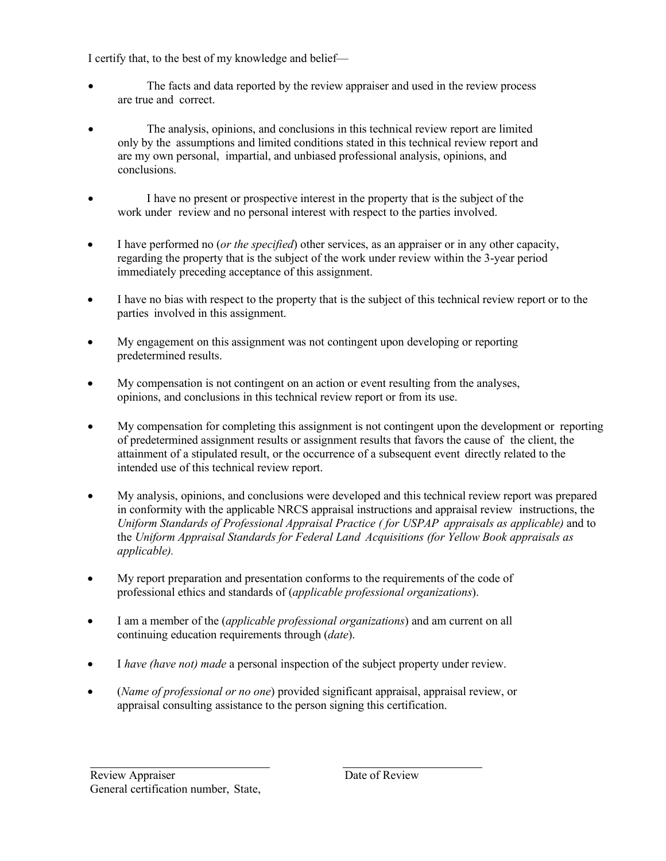I certify that, to the best of my knowledge and belief—

- The facts and data reported by the review appraiser and used in the review process are true and correct.
- The analysis, opinions, and conclusions in this technical review report are limited only by the assumptions and limited conditions stated in this technical review report and are my own personal, impartial, and unbiased professional analysis, opinions, and conclusions.
- I have no present or prospective interest in the property that is the subject of the work under review and no personal interest with respect to the parties involved.
- I have performed no (*or the specified*) other services, as an appraiser or in any other capacity, regarding the property that is the subject of the work under review within the 3-year period immediately preceding acceptance of this assignment.
- I have no bias with respect to the property that is the subject of this technical review report or to the parties involved in this assignment.
- My engagement on this assignment was not contingent upon developing or reporting predetermined results.
- My compensation is not contingent on an action or event resulting from the analyses, opinions, and conclusions in this technical review report or from its use.
- My compensation for completing this assignment is not contingent upon the development or reporting of predetermined assignment results or assignment results that favors the cause of the client, the attainment of a stipulated result, or the occurrence of a subsequent event directly related to the intended use of this technical review report.
- My analysis, opinions, and conclusions were developed and this technical review report was prepared in conformity with the applicable NRCS appraisal instructions and appraisal review instructions, the *Uniform Standards of Professional Appraisal Practice ( for USPAP appraisals as applicable)* and to the *Uniform Appraisal Standards for Federal Land Acquisitions (for Yellow Book appraisals as applicable).*
- My report preparation and presentation conforms to the requirements of the code of professional ethics and standards of (*applicable professional organizations*).
- I am a member of the (*applicable professional organizations*) and am current on all continuing education requirements through (*date*).
- I *have (have not) made* a personal inspection of the subject property under review.
- (*Name of professional or no one*) provided significant appraisal, appraisal review, or appraisal consulting assistance to the person signing this certification.